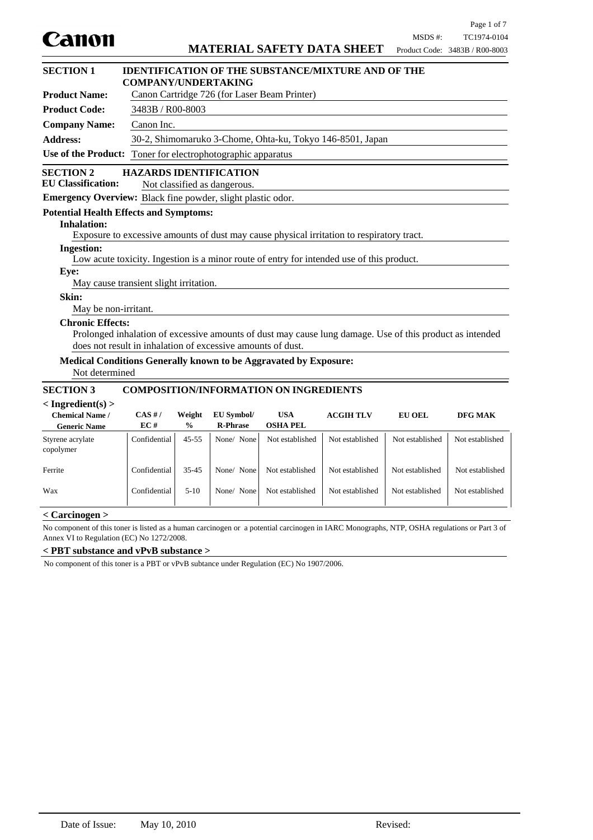

| <b>SECTION 1</b>                                                   | <b>IDENTIFICATION OF THE SUBSTANCE/MIXTURE AND OF THE</b><br><b>COMPANY/UNDERTAKING</b> |                                                           |                                         |                                                                  |                                                                                           |                                                                                                          |                 |
|--------------------------------------------------------------------|-----------------------------------------------------------------------------------------|-----------------------------------------------------------|-----------------------------------------|------------------------------------------------------------------|-------------------------------------------------------------------------------------------|----------------------------------------------------------------------------------------------------------|-----------------|
| <b>Product Name:</b>                                               |                                                                                         | Canon Cartridge 726 (for Laser Beam Printer)              |                                         |                                                                  |                                                                                           |                                                                                                          |                 |
| <b>Product Code:</b>                                               |                                                                                         | 3483B / R00-8003                                          |                                         |                                                                  |                                                                                           |                                                                                                          |                 |
| <b>Company Name:</b>                                               | Canon Inc.                                                                              |                                                           |                                         |                                                                  |                                                                                           |                                                                                                          |                 |
| <b>Address:</b>                                                    |                                                                                         | 30-2, Shimomaruko 3-Chome, Ohta-ku, Tokyo 146-8501, Japan |                                         |                                                                  |                                                                                           |                                                                                                          |                 |
| <b>Use of the Product:</b>                                         |                                                                                         |                                                           | Toner for electrophotographic apparatus |                                                                  |                                                                                           |                                                                                                          |                 |
| <b>SECTION 2</b>                                                   | <b>HAZARDS IDENTIFICATION</b>                                                           |                                                           |                                         |                                                                  |                                                                                           |                                                                                                          |                 |
| <b>EU Classification:</b>                                          |                                                                                         |                                                           | Not classified as dangerous.            |                                                                  |                                                                                           |                                                                                                          |                 |
| <b>Emergency Overview:</b> Black fine powder, slight plastic odor. |                                                                                         |                                                           |                                         |                                                                  |                                                                                           |                                                                                                          |                 |
| <b>Potential Health Effects and Symptoms:</b>                      |                                                                                         |                                                           |                                         |                                                                  |                                                                                           |                                                                                                          |                 |
| <b>Inhalation:</b>                                                 |                                                                                         |                                                           |                                         |                                                                  |                                                                                           |                                                                                                          |                 |
|                                                                    |                                                                                         |                                                           |                                         |                                                                  | Exposure to excessive amounts of dust may cause physical irritation to respiratory tract. |                                                                                                          |                 |
| <b>Ingestion:</b>                                                  |                                                                                         |                                                           |                                         |                                                                  | Low acute toxicity. Ingestion is a minor route of entry for intended use of this product. |                                                                                                          |                 |
| Eye:                                                               |                                                                                         |                                                           |                                         |                                                                  |                                                                                           |                                                                                                          |                 |
|                                                                    | May cause transient slight irritation.                                                  |                                                           |                                         |                                                                  |                                                                                           |                                                                                                          |                 |
| Skin:                                                              |                                                                                         |                                                           |                                         |                                                                  |                                                                                           |                                                                                                          |                 |
| May be non-irritant.                                               |                                                                                         |                                                           |                                         |                                                                  |                                                                                           |                                                                                                          |                 |
| <b>Chronic Effects:</b>                                            |                                                                                         |                                                           |                                         |                                                                  |                                                                                           |                                                                                                          |                 |
|                                                                    |                                                                                         |                                                           |                                         |                                                                  |                                                                                           | Prolonged inhalation of excessive amounts of dust may cause lung damage. Use of this product as intended |                 |
|                                                                    | does not result in inhalation of excessive amounts of dust.                             |                                                           |                                         |                                                                  |                                                                                           |                                                                                                          |                 |
|                                                                    |                                                                                         |                                                           |                                         | Medical Conditions Generally known to be Aggravated by Exposure: |                                                                                           |                                                                                                          |                 |
| Not determined                                                     |                                                                                         |                                                           |                                         |                                                                  |                                                                                           |                                                                                                          |                 |
| <b>SECTION 3</b>                                                   |                                                                                         |                                                           |                                         | <b>COMPOSITION/INFORMATION ON INGREDIENTS</b>                    |                                                                                           |                                                                                                          |                 |
| $\langle$ Ingredient(s) $>$                                        |                                                                                         |                                                           |                                         |                                                                  |                                                                                           |                                                                                                          |                 |
| <b>Chemical Name /</b>                                             | CAS H/                                                                                  | Weight                                                    | EU Symbol/                              | <b>USA</b>                                                       | <b>ACGIH TLV</b>                                                                          | <b>EU OEL</b>                                                                                            | DFG MAK         |
| <b>Generic Name</b>                                                | EC#                                                                                     | $\frac{0}{0}$                                             | <b>R-Phrase</b>                         | <b>OSHA PEL</b>                                                  |                                                                                           |                                                                                                          |                 |
| Styrene acrylate<br>copolymer                                      | Confidential                                                                            | $45 - 55$                                                 | None/ None                              | Not established                                                  | Not established                                                                           | Not established                                                                                          | Not established |
| Ferrite                                                            | Confidential                                                                            | $35 - 45$                                                 | None/ None                              | Not established                                                  | Not established                                                                           | Not established                                                                                          | Not established |
| Wax                                                                | Confidential                                                                            | $5-10$                                                    | None/ None                              | Not established                                                  | Not established                                                                           | Not established                                                                                          | Not established |
| $\geq C$ arcinagan $\sim$                                          |                                                                                         |                                                           |                                         |                                                                  |                                                                                           |                                                                                                          |                 |

### **< Carcinogen >**

No component of this toner is listed as a human carcinogen or a potential carcinogen in IARC Monographs, NTP, OSHA regulations or Part 3 of Annex VI to Regulation (EC) No 1272/2008.

#### **< PBT substance and vPvB substance >**

No component of this toner is a PBT or vPvB subtance under Regulation (EC) No 1907/2006.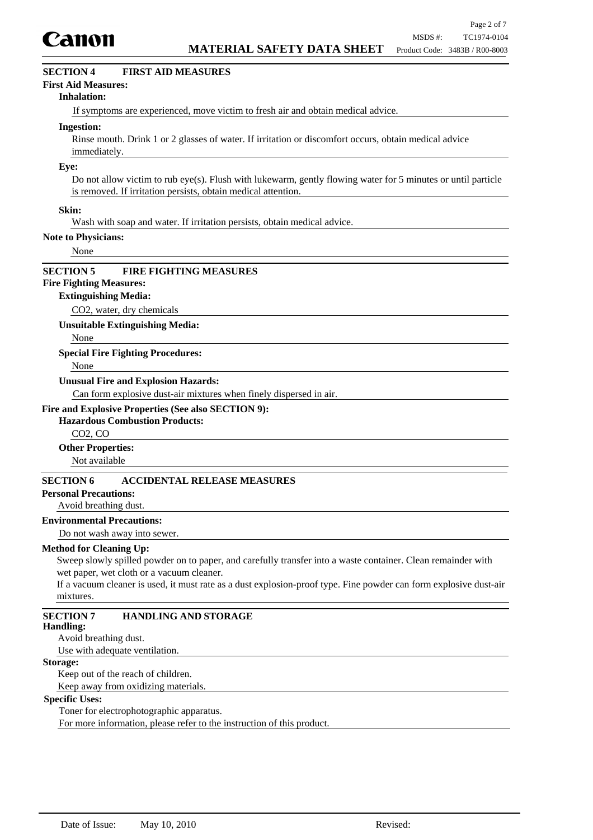

## **SECTION 4 FIRST AID MEASURES**

### **First Aid Measures:**

#### **Inhalation:**

If symptoms are experienced, move victim to fresh air and obtain medical advice.

#### **Ingestion:**

Rinse mouth. Drink 1 or 2 glasses of water. If irritation or discomfort occurs, obtain medical advice immediately.

#### **Eye:**

Do not allow victim to rub eye(s). Flush with lukewarm, gently flowing water for 5 minutes or until particle is removed. If irritation persists, obtain medical attention.

### **Skin:**

Wash with soap and water. If irritation persists, obtain medical advice.

#### **Note to Physicians:**

None

### **SECTION 5 FIRE FIGHTING MEASURES**

# **Fire Fighting Measures:**

#### **Extinguishing Media:**

CO2, water, dry chemicals

**Unsuitable Extinguishing Media:**

None

#### **Special Fire Fighting Procedures:**

None

#### **Unusual Fire and Explosion Hazards:**

Can form explosive dust-air mixtures when finely dispersed in air.

### **Fire and Explosive Properties (See also SECTION 9):**

### **Hazardous Combustion Products:**

CO2, CO

#### **Other Properties:**

Not available

### **SECTION 6 ACCIDENTAL RELEASE MEASURES**

### **Personal Precautions:**

#### Avoid breathing dust.

### **Environmental Precautions:**

Do not wash away into sewer.

#### **Method for Cleaning Up:**

Sweep slowly spilled powder on to paper, and carefully transfer into a waste container. Clean remainder with wet paper, wet cloth or a vacuum cleaner.

If a vacuum cleaner is used, it must rate as a dust explosion-proof type. Fine powder can form explosive dust-air mixtures.

# **SECTION 7 HANDLING AND STORAGE**

#### **Handling:**

Avoid breathing dust.

Use with adequate ventilation.

### **Storage:**

Keep out of the reach of children. Keep away from oxidizing materials.

#### **Specific Uses:**

Toner for electrophotographic apparatus.

For more information, please refer to the instruction of this product.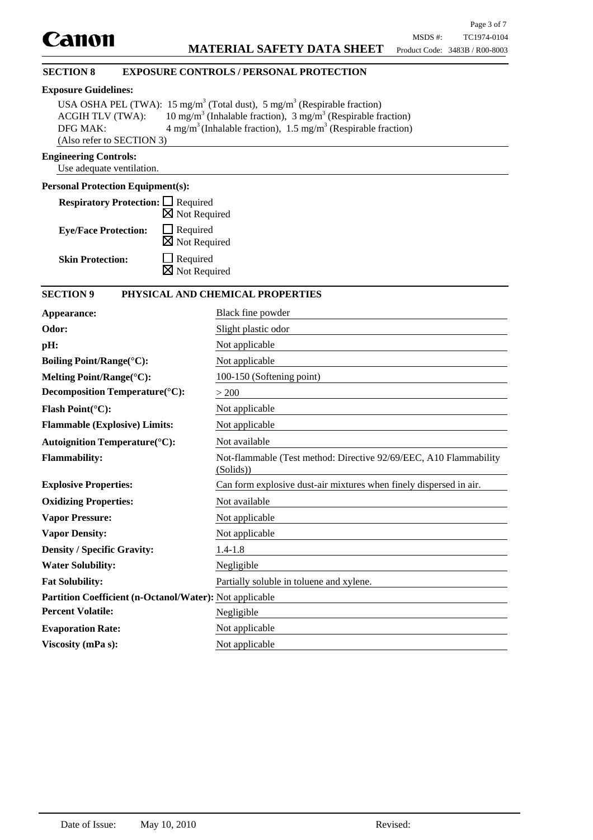## **SECTION 8 EXPOSURE CONTROLS / PERSONAL PROTECTION**

# **Exposure Guidelines:**

|                           | USA OSHA PEL (TWA): 15 mg/m <sup>3</sup> (Total dust), 5 mg/m <sup>3</sup> (Respirable fraction) |
|---------------------------|--------------------------------------------------------------------------------------------------|
| <b>ACGIH TLV (TWA):</b>   | 10 mg/m <sup>3</sup> (Inhalable fraction), 3 mg/m <sup>3</sup> (Respirable fraction)             |
| DFG MAK:                  | $4 \text{ mg/m}^3$ (Inhalable fraction), 1.5 mg/m <sup>3</sup> (Respirable fraction)             |
| (Also refer to SECTION 3) |                                                                                                  |

### **Engineering Controls:**

Use adequate ventilation.

### **Personal Protection Equipment(s):**

| <b>Respiratory Protection:</b> □ Required |                          |
|-------------------------------------------|--------------------------|
|                                           | $\boxtimes$ Not Required |
| <b>Eye/Face Protection:</b>               | $\Box$ Required          |
|                                           | $\boxtimes$ Not Required |
| <b>Skin Protection:</b>                   | $\Box$ Required          |
|                                           | $\boxtimes$ Not Required |

### **SECTION 9 PHYSICAL AND CHEMICAL PROPERTIES**

| Appearance:                                             | Black fine powder                                                              |  |  |
|---------------------------------------------------------|--------------------------------------------------------------------------------|--|--|
| Odor:                                                   | Slight plastic odor                                                            |  |  |
| pH:                                                     | Not applicable                                                                 |  |  |
| <b>Boiling Point/Range(°C):</b>                         | Not applicable                                                                 |  |  |
| Melting Point/Range(°C):                                | 100-150 (Softening point)                                                      |  |  |
| Decomposition Temperature(°C):                          | > 200                                                                          |  |  |
| Flash Point(°C):                                        | Not applicable                                                                 |  |  |
| <b>Flammable (Explosive) Limits:</b>                    | Not applicable                                                                 |  |  |
| <b>Autoignition Temperature(°C):</b>                    | Not available                                                                  |  |  |
| <b>Flammability:</b>                                    | Not-flammable (Test method: Directive 92/69/EEC, A10 Flammability<br>(Solids)) |  |  |
| <b>Explosive Properties:</b>                            | Can form explosive dust-air mixtures when finely dispersed in air.             |  |  |
| <b>Oxidizing Properties:</b>                            | Not available                                                                  |  |  |
| <b>Vapor Pressure:</b>                                  | Not applicable                                                                 |  |  |
| <b>Vapor Density:</b>                                   | Not applicable                                                                 |  |  |
| <b>Density / Specific Gravity:</b>                      | $1.4 - 1.8$                                                                    |  |  |
| <b>Water Solubility:</b>                                | Negligible                                                                     |  |  |
| <b>Fat Solubility:</b>                                  | Partially soluble in toluene and xylene.                                       |  |  |
| Partition Coefficient (n-Octanol/Water): Not applicable |                                                                                |  |  |
| <b>Percent Volatile:</b>                                | Negligible                                                                     |  |  |
| <b>Evaporation Rate:</b>                                | Not applicable                                                                 |  |  |
| Viscosity (mPa s):                                      | Not applicable                                                                 |  |  |
|                                                         |                                                                                |  |  |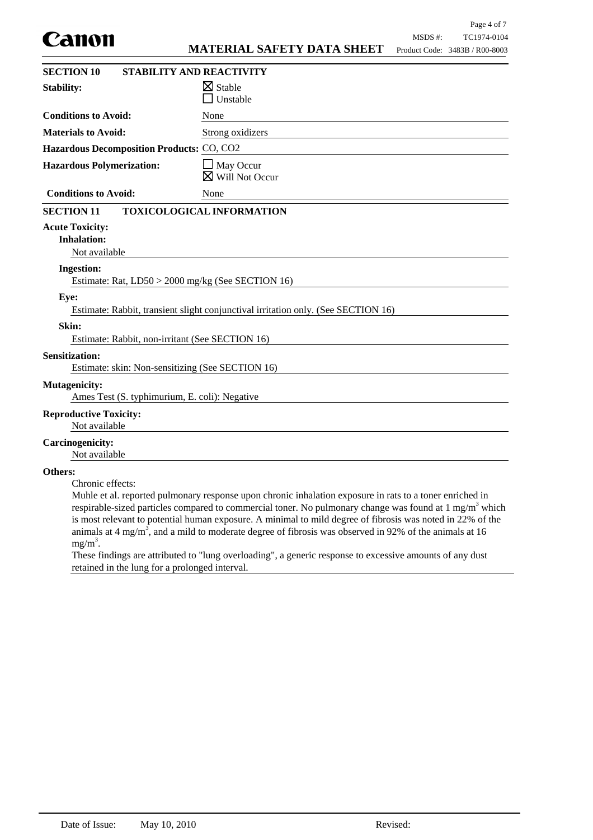|                                                                           |                                                                                                                                                                                                                                                                                                                                                                                                                                                                     |         | Page 4 of 7                    |
|---------------------------------------------------------------------------|---------------------------------------------------------------------------------------------------------------------------------------------------------------------------------------------------------------------------------------------------------------------------------------------------------------------------------------------------------------------------------------------------------------------------------------------------------------------|---------|--------------------------------|
| Canon                                                                     |                                                                                                                                                                                                                                                                                                                                                                                                                                                                     | MSDS #: | TC1974-0104                    |
|                                                                           | <b>MATERIAL SAFETY DATA SHEET</b>                                                                                                                                                                                                                                                                                                                                                                                                                                   |         | Product Code: 3483B / R00-8003 |
| <b>SECTION 10</b>                                                         | <b>STABILITY AND REACTIVITY</b>                                                                                                                                                                                                                                                                                                                                                                                                                                     |         |                                |
| <b>Stability:</b>                                                         | $\boxtimes$ Stable<br>Unstable                                                                                                                                                                                                                                                                                                                                                                                                                                      |         |                                |
| <b>Conditions to Avoid:</b>                                               | None                                                                                                                                                                                                                                                                                                                                                                                                                                                                |         |                                |
| <b>Materials to Avoid:</b>                                                | Strong oxidizers                                                                                                                                                                                                                                                                                                                                                                                                                                                    |         |                                |
| Hazardous Decomposition Products: CO, CO2                                 |                                                                                                                                                                                                                                                                                                                                                                                                                                                                     |         |                                |
| <b>Hazardous Polymerization:</b>                                          | May Occur<br>Will Not Occur                                                                                                                                                                                                                                                                                                                                                                                                                                         |         |                                |
| <b>Conditions to Avoid:</b>                                               | None                                                                                                                                                                                                                                                                                                                                                                                                                                                                |         |                                |
| <b>SECTION 11</b>                                                         | <b>TOXICOLOGICAL INFORMATION</b>                                                                                                                                                                                                                                                                                                                                                                                                                                    |         |                                |
| <b>Acute Toxicity:</b><br><b>Inhalation:</b><br>Not available             |                                                                                                                                                                                                                                                                                                                                                                                                                                                                     |         |                                |
| <b>Ingestion:</b>                                                         |                                                                                                                                                                                                                                                                                                                                                                                                                                                                     |         |                                |
| Estimate: Rat, LD50 > 2000 mg/kg (See SECTION 16)                         |                                                                                                                                                                                                                                                                                                                                                                                                                                                                     |         |                                |
| Eye:                                                                      | Estimate: Rabbit, transient slight conjunctival irritation only. (See SECTION 16)                                                                                                                                                                                                                                                                                                                                                                                   |         |                                |
| Skin:<br>Estimate: Rabbit, non-irritant (See SECTION 16)                  |                                                                                                                                                                                                                                                                                                                                                                                                                                                                     |         |                                |
| <b>Sensitization:</b><br>Estimate: skin: Non-sensitizing (See SECTION 16) |                                                                                                                                                                                                                                                                                                                                                                                                                                                                     |         |                                |
| <b>Mutagenicity:</b><br>Ames Test (S. typhimurium, E. coli): Negative     |                                                                                                                                                                                                                                                                                                                                                                                                                                                                     |         |                                |
| <b>Reproductive Toxicity:</b><br>Not available                            |                                                                                                                                                                                                                                                                                                                                                                                                                                                                     |         |                                |
| <b>Carcinogenicity:</b><br>Not available                                  |                                                                                                                                                                                                                                                                                                                                                                                                                                                                     |         |                                |
| Others:<br>Chronic effects:<br>$mg/m^3$ .                                 | Muhle et al. reported pulmonary response upon chronic inhalation exposure in rats to a toner enriched in<br>respirable-sized particles compared to commercial toner. No pulmonary change was found at $1 \text{ mg/m}^3$ which<br>is most relevant to potential human exposure. A minimal to mild degree of fibrosis was noted in 22% of the<br>animals at 4 mg/m <sup>3</sup> , and a mild to moderate degree of fibrosis was observed in 92% of the animals at 16 |         |                                |

These findings are attributed to "lung overloading", a generic response to excessive amounts of any dust retained in the lung for a prolonged interval.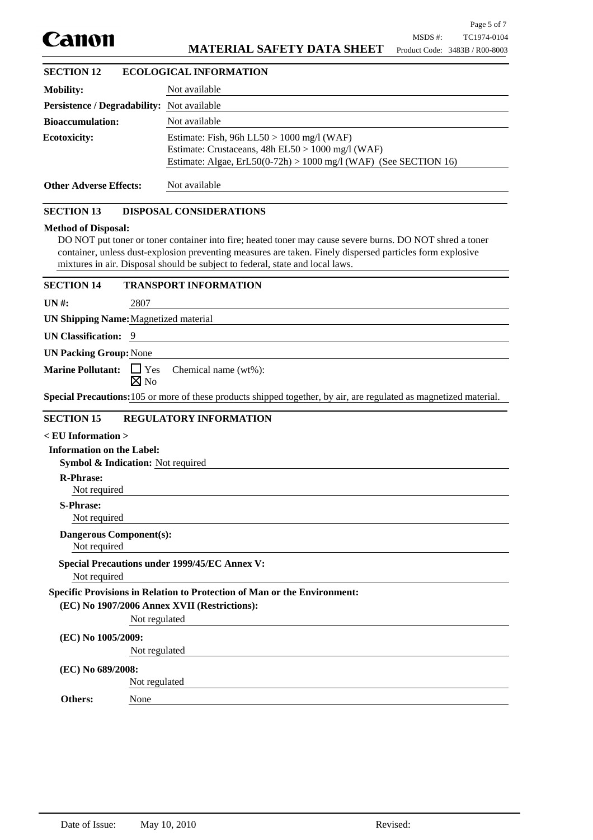

# **MATERIAL SAFETY DATA SHEET**

# **Mobility:** Not available **Persistence / Degradability:** Not available **Bioaccumulation:** Not available Estimate: Fish, 96h LL50 > 1000 mg/l (WAF) Estimate: Crustaceans, 48h EL50 > 1000 mg/l (WAF) Estimate: Algae, ErL50(0-72h) > 1000 mg/l (WAF) (See SECTION 16) **Ecotoxicity: Other Adverse Effects:** Not available DO NOT put toner or toner container into fire; heated toner may cause severe burns. DO NOT shred a toner container, unless dust-explosion preventing measures are taken. Finely dispersed particles form explosive mixtures in air. Disposal should be subject to federal, state and local laws. **Method of Disposal: Symbol & Indication:** Not required Not required **R-Phrase:** Not required **Dangerous Component(s): SECTION 13 DISPOSAL CONSIDERATIONS < EU Information > Information on the Label:** Not required **S-Phrase: UN #:** 2807 **UN Shipping Name:**Magnetized material **UN Classification:** 9 **Special Precautions:**105 or more of these products shipped together, by air, are regulated as magnetized material. **UN Packing Group:**None Marine Pollutant: □ Yes  $\boxtimes$  No Chemical name (wt%): **SECTION 15 REGULATORY INFORMATION** None **Specific Provisions in Relation to Protection of Man or the Environment:** Not regulated **(EC) No 1907/2006 Annex XVII (Restrictions):** Not regulated **(EC) No 1005/2009:** Not regulated **(EC) No 689/2008: Others:** Not required **Special Precautions under 1999/45/EC Annex V: SECTION 12 ECOLOGICAL INFORMATION SECTION 14 TRANSPORT INFORMATION**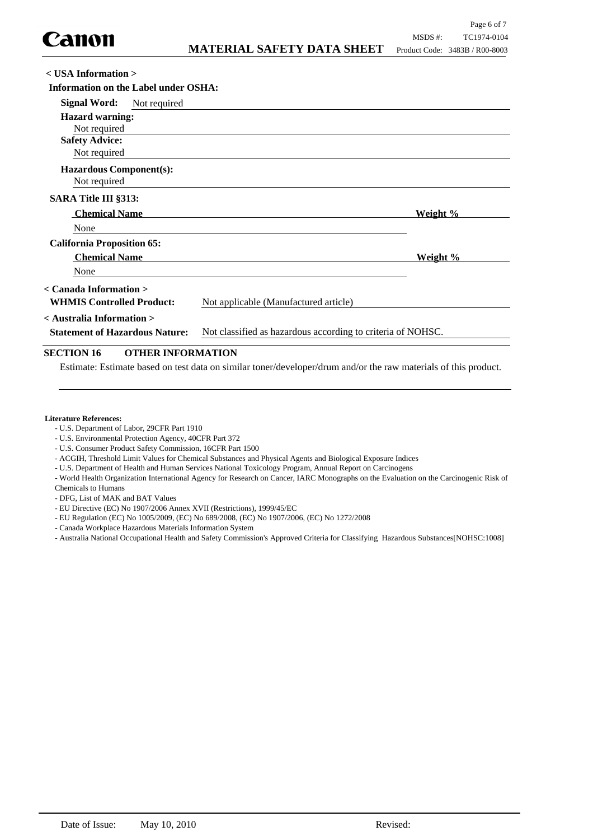| $\langle$ USA Information $\rangle$                                                                  |                                                             |                                       |          |
|------------------------------------------------------------------------------------------------------|-------------------------------------------------------------|---------------------------------------|----------|
| Information on the Label under OSHA:                                                                 |                                                             |                                       |          |
| <b>Signal Word:</b>                                                                                  | Not required                                                |                                       |          |
| <b>Hazard warning:</b><br>Not required                                                               |                                                             |                                       |          |
| <b>Safety Advice:</b><br>Not required                                                                |                                                             |                                       |          |
| <b>Hazardous Component(s):</b><br>Not required                                                       |                                                             |                                       |          |
| <b>SARA Title III §313:</b>                                                                          |                                                             |                                       |          |
| <b>Chemical Name</b>                                                                                 |                                                             |                                       | Weight % |
| None                                                                                                 |                                                             |                                       |          |
| <b>California Proposition 65:</b>                                                                    |                                                             |                                       |          |
| <b>Chemical Name</b>                                                                                 |                                                             |                                       | Weight % |
| None                                                                                                 |                                                             |                                       |          |
| $\langle$ Canada Information $\rangle$                                                               |                                                             |                                       |          |
| <b>WHMIS Controlled Product:</b>                                                                     |                                                             | Not applicable (Manufactured article) |          |
| < Australia Information >                                                                            |                                                             |                                       |          |
| Not classified as hazardous according to criteria of NOHSC.<br><b>Statement of Hazardous Nature:</b> |                                                             |                                       |          |
|                                                                                                      | $\alpha$ myynn ylin $\alpha$ nl $\epsilon$ i my $\alpha$ l! |                                       |          |

### **SECTION 16 OTHER INFORMATION**

Estimate: Estimate based on test data on similar toner/developer/drum and/or the raw materials of this product.

#### **Literature References:**

- U.S. Department of Labor, 29CFR Part 1910
- U.S. Environmental Protection Agency, 40CFR Part 372
- U.S. Consumer Product Safety Commission, 16CFR Part 1500
- ACGIH, Threshold Limit Values for Chemical Substances and Physical Agents and Biological Exposure Indices
- U.S. Department of Health and Human Services National Toxicology Program, Annual Report on Carcinogens
- World Health Organization International Agency for Research on Cancer, IARC Monographs on the Evaluation on the Carcinogenic Risk of Chemicals to Humans
- DFG, List of MAK and BAT Values
- EU Directive (EC) No 1907/2006 Annex XVII (Restrictions), 1999/45/EC
- EU Regulation (EC) No 1005/2009, (EC) No 689/2008, (EC) No 1907/2006, (EC) No 1272/2008
- Canada Workplace Hazardous Materials Information System
- Australia National Occupational Health and Safety Commission's Approved Criteria for Classifying Hazardous Substances[NOHSC:1008]